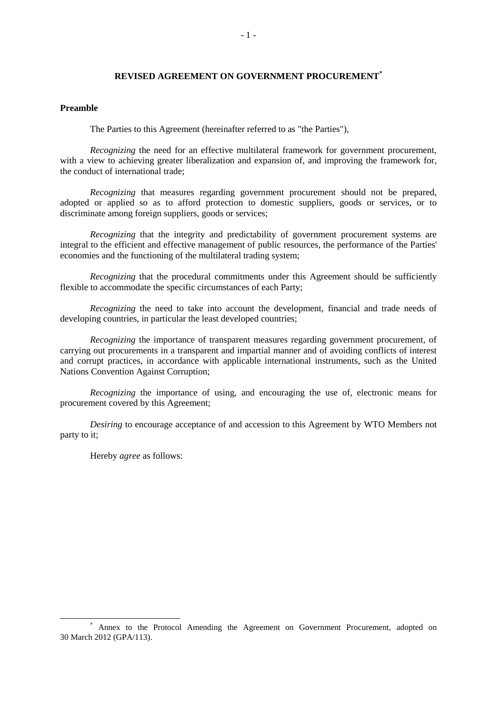#### **REVISED AGREEMENT ON GOVERNMENT PROCUREMENT\***

# **Preamble**

The Parties to this Agreement (hereinafter referred to as "the Parties"),

*Recognizing* the need for an effective multilateral framework for government procurement, with a view to achieving greater liberalization and expansion of, and improving the framework for, the conduct of international trade;

*Recognizing* that measures regarding government procurement should not be prepared, adopted or applied so as to afford protection to domestic suppliers, goods or services, or to discriminate among foreign suppliers, goods or services;

*Recognizing* that the integrity and predictability of government procurement systems are integral to the efficient and effective management of public resources, the performance of the Parties' economies and the functioning of the multilateral trading system;

*Recognizing* that the procedural commitments under this Agreement should be sufficiently flexible to accommodate the specific circumstances of each Party;

*Recognizing* the need to take into account the development, financial and trade needs of developing countries, in particular the least developed countries;

*Recognizing* the importance of transparent measures regarding government procurement, of carrying out procurements in a transparent and impartial manner and of avoiding conflicts of interest and corrupt practices, in accordance with applicable international instruments, such as the United Nations Convention Against Corruption;

*Recognizing* the importance of using, and encouraging the use of, electronic means for procurement covered by this Agreement;

*Desiring* to encourage acceptance of and accession to this Agreement by WTO Members not party to it;

Hereby *agree* as follows:

1

<sup>\*</sup> Annex to the Protocol Amending the Agreement on Government Procurement, adopted on 30 March 2012 (GPA/113).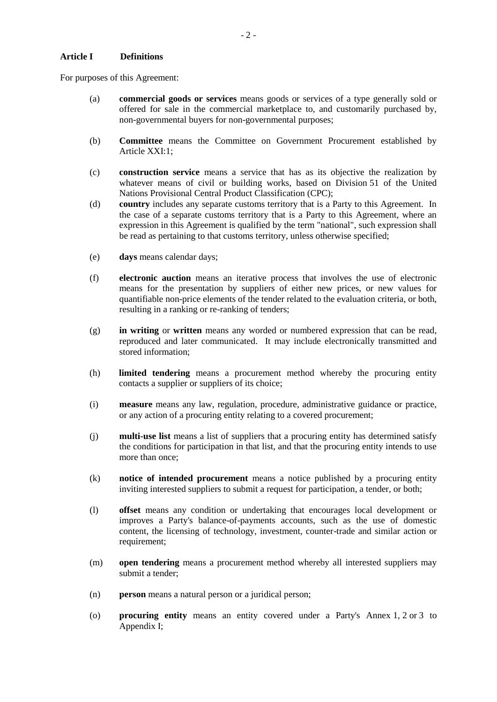### **Article I Definitions**

For purposes of this Agreement:

- (a) **commercial goods or services** means goods or services of a type generally sold or offered for sale in the commercial marketplace to, and customarily purchased by, non-governmental buyers for non-governmental purposes;
- (b) **Committee** means the Committee on Government Procurement established by Article XXI:1;
- (c) **construction service** means a service that has as its objective the realization by whatever means of civil or building works, based on Division 51 of the United Nations Provisional Central Product Classification (CPC);
- (d) **country** includes any separate customs territory that is a Party to this Agreement. In the case of a separate customs territory that is a Party to this Agreement, where an expression in this Agreement is qualified by the term "national", such expression shall be read as pertaining to that customs territory, unless otherwise specified;
- (e) **days** means calendar days;
- (f) **electronic auction** means an iterative process that involves the use of electronic means for the presentation by suppliers of either new prices, or new values for quantifiable non-price elements of the tender related to the evaluation criteria, or both, resulting in a ranking or re-ranking of tenders;
- (g) **in writing** or **written** means any worded or numbered expression that can be read, reproduced and later communicated. It may include electronically transmitted and stored information;
- (h) **limited tendering** means a procurement method whereby the procuring entity contacts a supplier or suppliers of its choice;
- (i) **measure** means any law, regulation, procedure, administrative guidance or practice, or any action of a procuring entity relating to a covered procurement;
- (j) **multi-use list** means a list of suppliers that a procuring entity has determined satisfy the conditions for participation in that list, and that the procuring entity intends to use more than once;
- (k) **notice of intended procurement** means a notice published by a procuring entity inviting interested suppliers to submit a request for participation, a tender, or both;
- (l) **offset** means any condition or undertaking that encourages local development or improves a Party's balance-of-payments accounts, such as the use of domestic content, the licensing of technology, investment, counter-trade and similar action or requirement;
- (m) **open tendering** means a procurement method whereby all interested suppliers may submit a tender;
- (n) **person** means a natural person or a juridical person;
- (o) **procuring entity** means an entity covered under a Party's Annex 1, 2 or 3 to Appendix I;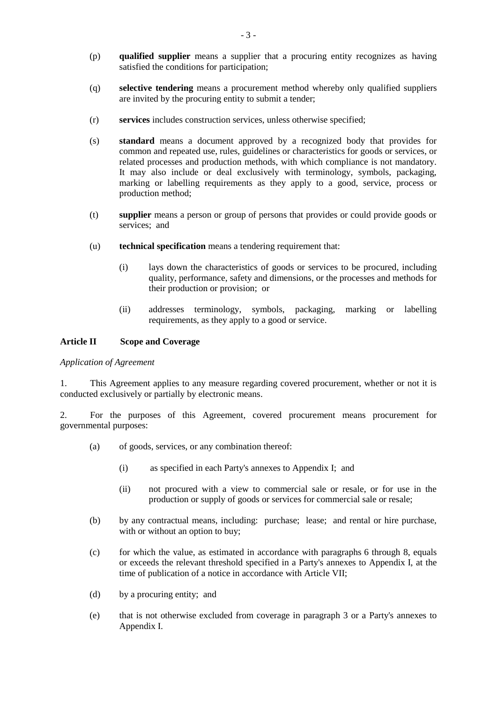- (p) **qualified supplier** means a supplier that a procuring entity recognizes as having satisfied the conditions for participation;
- (q) **selective tendering** means a procurement method whereby only qualified suppliers are invited by the procuring entity to submit a tender;
- (r) **services** includes construction services, unless otherwise specified;
- (s) **standard** means a document approved by a recognized body that provides for common and repeated use, rules, guidelines or characteristics for goods or services, or related processes and production methods, with which compliance is not mandatory. It may also include or deal exclusively with terminology, symbols, packaging, marking or labelling requirements as they apply to a good, service, process or production method;
- (t) **supplier** means a person or group of persons that provides or could provide goods or services: and
- (u) **technical specification** means a tendering requirement that:
	- (i) lays down the characteristics of goods or services to be procured, including quality, performance, safety and dimensions, or the processes and methods for their production or provision; or
	- (ii) addresses terminology, symbols, packaging, marking or labelling requirements, as they apply to a good or service.

# **Article II Scope and Coverage**

#### *Application of Agreement*

1. This Agreement applies to any measure regarding covered procurement, whether or not it is conducted exclusively or partially by electronic means.

2. For the purposes of this Agreement, covered procurement means procurement for governmental purposes:

- (a) of goods, services, or any combination thereof:
	- (i) as specified in each Party's annexes to Appendix I; and
	- (ii) not procured with a view to commercial sale or resale, or for use in the production or supply of goods or services for commercial sale or resale;
- (b) by any contractual means, including: purchase; lease; and rental or hire purchase, with or without an option to buy;
- (c) for which the value, as estimated in accordance with paragraphs 6 through 8, equals or exceeds the relevant threshold specified in a Party's annexes to Appendix I, at the time of publication of a notice in accordance with Article VII;
- (d) by a procuring entity; and
- (e) that is not otherwise excluded from coverage in paragraph 3 or a Party's annexes to Appendix I.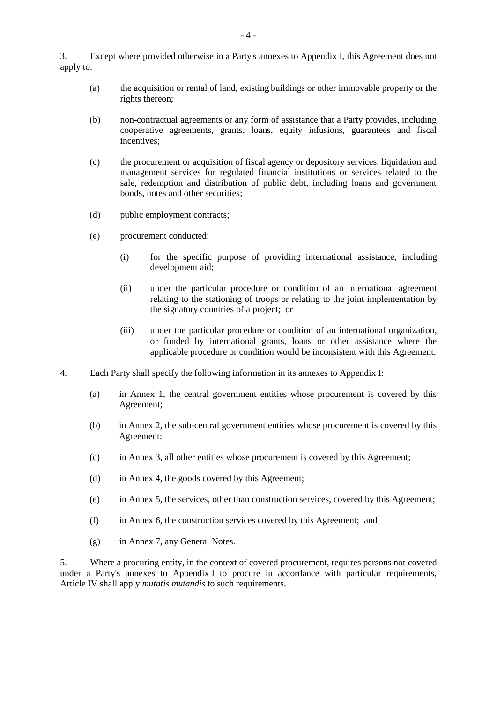3. Except where provided otherwise in a Party's annexes to Appendix I, this Agreement does not apply to:

- (a) the acquisition or rental of land, existing buildings or other immovable property or the rights thereon;
- (b) non-contractual agreements or any form of assistance that a Party provides, including cooperative agreements, grants, loans, equity infusions, guarantees and fiscal incentives;
- (c) the procurement or acquisition of fiscal agency or depository services, liquidation and management services for regulated financial institutions or services related to the sale, redemption and distribution of public debt, including loans and government bonds, notes and other securities;
- (d) public employment contracts;
- (e) procurement conducted:
	- (i) for the specific purpose of providing international assistance, including development aid;
	- (ii) under the particular procedure or condition of an international agreement relating to the stationing of troops or relating to the joint implementation by the signatory countries of a project; or
	- (iii) under the particular procedure or condition of an international organization, or funded by international grants, loans or other assistance where the applicable procedure or condition would be inconsistent with this Agreement.
- 4. Each Party shall specify the following information in its annexes to Appendix I:
	- (a) in Annex 1, the central government entities whose procurement is covered by this Agreement;
	- (b) in Annex 2, the sub-central government entities whose procurement is covered by this Agreement;
	- (c) in Annex 3, all other entities whose procurement is covered by this Agreement;
	- (d) in Annex 4, the goods covered by this Agreement;
	- (e) in Annex 5, the services, other than construction services, covered by this Agreement;
	- (f) in Annex 6, the construction services covered by this Agreement; and
	- (g) in Annex 7, any General Notes.

5. Where a procuring entity, in the context of covered procurement, requires persons not covered under a Party's annexes to Appendix I to procure in accordance with particular requirements, Article IV shall apply *mutatis mutandis* to such requirements.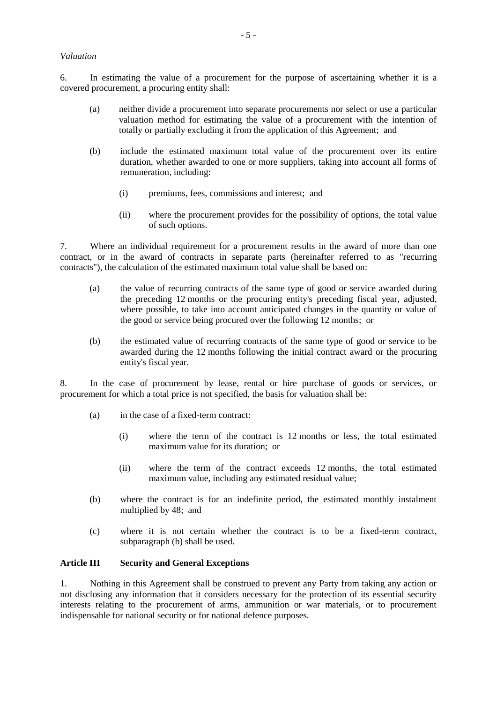#### *Valuation*

6. In estimating the value of a procurement for the purpose of ascertaining whether it is a covered procurement, a procuring entity shall:

- (a) neither divide a procurement into separate procurements nor select or use a particular valuation method for estimating the value of a procurement with the intention of totally or partially excluding it from the application of this Agreement; and
- (b) include the estimated maximum total value of the procurement over its entire duration, whether awarded to one or more suppliers, taking into account all forms of remuneration, including:
	- (i) premiums, fees, commissions and interest; and
	- (ii) where the procurement provides for the possibility of options, the total value of such options.

7. Where an individual requirement for a procurement results in the award of more than one contract, or in the award of contracts in separate parts (hereinafter referred to as "recurring contracts"), the calculation of the estimated maximum total value shall be based on:

- (a) the value of recurring contracts of the same type of good or service awarded during the preceding 12 months or the procuring entity's preceding fiscal year, adjusted, where possible, to take into account anticipated changes in the quantity or value of the good or service being procured over the following 12 months; or
- (b) the estimated value of recurring contracts of the same type of good or service to be awarded during the 12 months following the initial contract award or the procuring entity's fiscal year.

8. In the case of procurement by lease, rental or hire purchase of goods or services, or procurement for which a total price is not specified, the basis for valuation shall be:

- (a) in the case of a fixed-term contract:
	- (i) where the term of the contract is 12 months or less, the total estimated maximum value for its duration; or
	- (ii) where the term of the contract exceeds 12 months, the total estimated maximum value, including any estimated residual value;
- (b) where the contract is for an indefinite period, the estimated monthly instalment multiplied by 48; and
- (c) where it is not certain whether the contract is to be a fixed-term contract, subparagraph (b) shall be used.

### **Article III Security and General Exceptions**

1. Nothing in this Agreement shall be construed to prevent any Party from taking any action or not disclosing any information that it considers necessary for the protection of its essential security interests relating to the procurement of arms, ammunition or war materials, or to procurement indispensable for national security or for national defence purposes.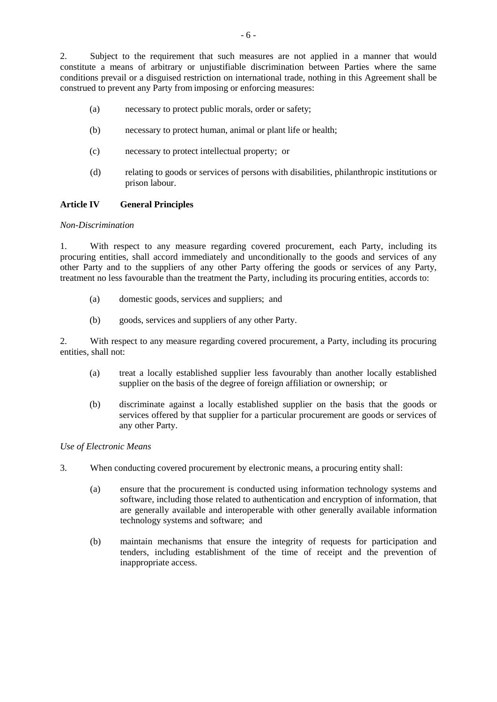2. Subject to the requirement that such measures are not applied in a manner that would constitute a means of arbitrary or unjustifiable discrimination between Parties where the same conditions prevail or a disguised restriction on international trade, nothing in this Agreement shall be construed to prevent any Party fromimposing or enforcing measures:

- (a) necessary to protect public morals, order or safety;
- (b) necessary to protect human, animal or plant life or health;
- (c) necessary to protect intellectual property; or
- (d) relating to goods or services of persons with disabilities, philanthropic institutions or prison labour.

# **Article IV General Principles**

# *Non-Discrimination*

1. With respect to any measure regarding covered procurement, each Party, including its procuring entities, shall accord immediately and unconditionally to the goods and services of any other Party and to the suppliers of any other Party offering the goods or services of any Party, treatment no less favourable than the treatment the Party, including its procuring entities, accords to:

- (a) domestic goods, services and suppliers; and
- (b) goods, services and suppliers of any other Party.

2. With respect to any measure regarding covered procurement, a Party, including its procuring entities, shall not:

- (a) treat a locally established supplier less favourably than another locally established supplier on the basis of the degree of foreign affiliation or ownership; or
- (b) discriminate against a locally established supplier on the basis that the goods or services offered by that supplier for a particular procurement are goods or services of any other Party.

# *Use of Electronic Means*

3. When conducting covered procurement by electronic means, a procuring entity shall:

- (a) ensure that the procurement is conducted using information technology systems and software, including those related to authentication and encryption of information, that are generally available and interoperable with other generally available information technology systems and software; and
- (b) maintain mechanisms that ensure the integrity of requests for participation and tenders, including establishment of the time of receipt and the prevention of inappropriate access.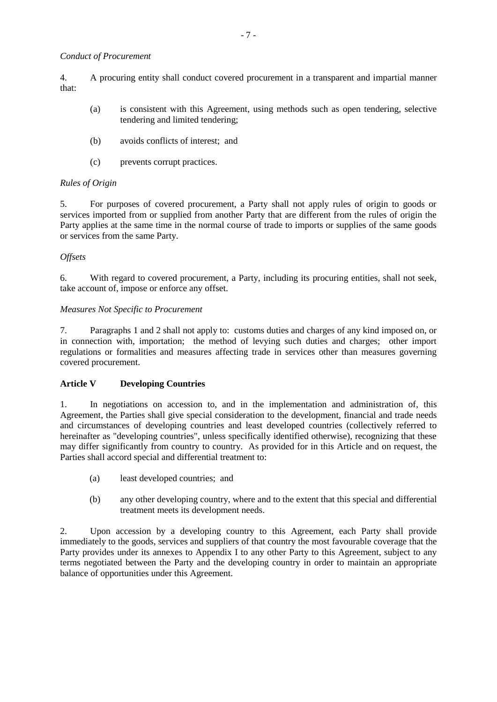# *Conduct of Procurement*

4. A procuring entity shall conduct covered procurement in a transparent and impartial manner that:

- (a) is consistent with this Agreement, using methods such as open tendering, selective tendering and limited tendering;
- (b) avoids conflicts of interest; and
- (c) prevents corrupt practices.

# *Rules of Origin*

5. For purposes of covered procurement, a Party shall not apply rules of origin to goods or services imported from or supplied from another Party that are different from the rules of origin the Party applies at the same time in the normal course of trade to imports or supplies of the same goods or services from the same Party.

# *Offsets*

6. With regard to covered procurement, a Party, including its procuring entities, shall not seek, take account of, impose or enforce any offset.

# *Measures Not Specific to Procurement*

7. Paragraphs 1 and 2 shall not apply to: customs duties and charges of any kind imposed on, or in connection with, importation; the method of levying such duties and charges; other import regulations or formalities and measures affecting trade in services other than measures governing covered procurement.

# **Article V Developing Countries**

1. In negotiations on accession to, and in the implementation and administration of, this Agreement, the Parties shall give special consideration to the development, financial and trade needs and circumstances of developing countries and least developed countries (collectively referred to hereinafter as "developing countries", unless specifically identified otherwise), recognizing that these may differ significantly from country to country. As provided for in this Article and on request, the Parties shall accord special and differential treatment to:

- (a) least developed countries; and
- (b) any other developing country, where and to the extent that this special and differential treatment meets its development needs.

2. Upon accession by a developing country to this Agreement, each Party shall provide immediately to the goods, services and suppliers of that country the most favourable coverage that the Party provides under its annexes to Appendix I to any other Party to this Agreement, subject to any terms negotiated between the Party and the developing country in order to maintain an appropriate balance of opportunities under this Agreement.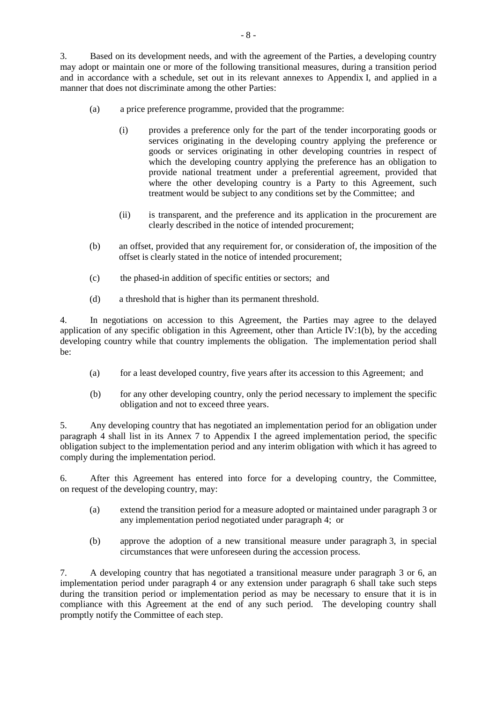3. Based on its development needs, and with the agreement of the Parties, a developing country may adopt or maintain one or more of the following transitional measures, during a transition period and in accordance with a schedule, set out in its relevant annexes to Appendix I, and applied in a manner that does not discriminate among the other Parties:

- (a) a price preference programme, provided that the programme:
	- (i) provides a preference only for the part of the tender incorporating goods or services originating in the developing country applying the preference or goods or services originating in other developing countries in respect of which the developing country applying the preference has an obligation to provide national treatment under a preferential agreement, provided that where the other developing country is a Party to this Agreement, such treatment would be subject to any conditions set by the Committee; and
	- (ii) is transparent, and the preference and its application in the procurement are clearly described in the notice of intended procurement;
- (b) an offset, provided that any requirement for, or consideration of, the imposition of the offset is clearly stated in the notice of intended procurement;
- (c) the phased-in addition of specific entities or sectors; and
- (d) a threshold that is higher than its permanent threshold.

4. In negotiations on accession to this Agreement, the Parties may agree to the delayed application of any specific obligation in this Agreement, other than Article IV:1(b), by the acceding developing country while that country implements the obligation. The implementation period shall be:

- (a) for a least developed country, five years after its accession to this Agreement; and
- (b) for any other developing country, only the period necessary to implement the specific obligation and not to exceed three years.

5. Any developing country that has negotiated an implementation period for an obligation under paragraph 4 shall list in its Annex 7 to Appendix I the agreed implementation period, the specific obligation subject to the implementation period and any interim obligation with which it has agreed to comply during the implementation period.

6. After this Agreement has entered into force for a developing country, the Committee, on request of the developing country, may:

- (a) extend the transition period for a measure adopted or maintained under paragraph 3 or any implementation period negotiated under paragraph 4; or
- (b) approve the adoption of a new transitional measure under paragraph 3, in special circumstances that were unforeseen during the accession process.

7. A developing country that has negotiated a transitional measure under paragraph 3 or 6, an implementation period under paragraph 4 or any extension under paragraph 6 shall take such steps during the transition period or implementation period as may be necessary to ensure that it is in compliance with this Agreement at the end of any such period. The developing country shall promptly notify the Committee of each step.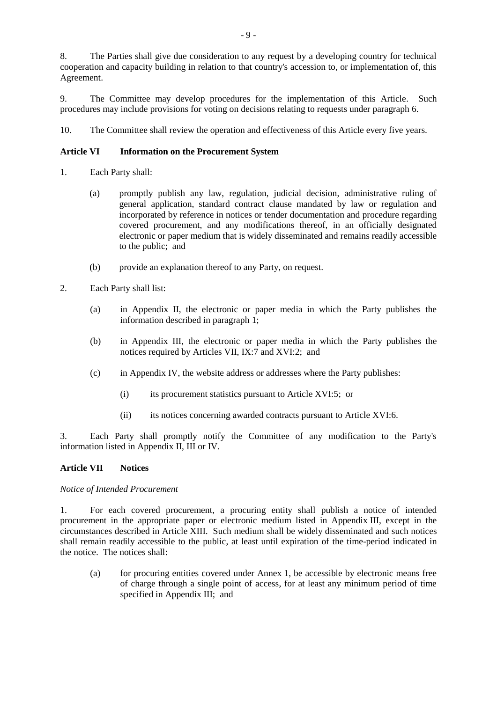8. The Parties shall give due consideration to any request by a developing country for technical cooperation and capacity building in relation to that country's accession to, or implementation of, this Agreement.

9. The Committee may develop procedures for the implementation of this Article. Such procedures may include provisions for voting on decisions relating to requests under paragraph 6.

10. The Committee shall review the operation and effectiveness of this Article every five years.

# **Article VI Information on the Procurement System**

- 1. Each Party shall:
	- (a) promptly publish any law, regulation, judicial decision, administrative ruling of general application, standard contract clause mandated by law or regulation and incorporated by reference in notices or tender documentation and procedure regarding covered procurement, and any modifications thereof, in an officially designated electronic or paper medium that is widely disseminated and remains readily accessible to the public; and
	- (b) provide an explanation thereof to any Party, on request.
- 2. Each Party shall list:
	- (a) in Appendix II, the electronic or paper media in which the Party publishes the information described in paragraph 1;
	- (b) in Appendix III, the electronic or paper media in which the Party publishes the notices required by Articles VII, IX:7 and XVI:2; and
	- (c) in Appendix IV, the website address or addresses where the Party publishes:
		- (i) its procurement statistics pursuant to Article XVI:5; or
		- (ii) its notices concerning awarded contracts pursuant to Article XVI:6.

3. Each Party shall promptly notify the Committee of any modification to the Party's information listed in Appendix II, III or IV.

# **Article VII Notices**

# *Notice of Intended Procurement*

1. For each covered procurement, a procuring entity shall publish a notice of intended procurement in the appropriate paper or electronic medium listed in Appendix III, except in the circumstances described in Article XIII. Such medium shall be widely disseminated and such notices shall remain readily accessible to the public, at least until expiration of the time-period indicated in the notice. The notices shall:

(a) for procuring entities covered under Annex 1, be accessible by electronic means free of charge through a single point of access, for at least any minimum period of time specified in Appendix III; and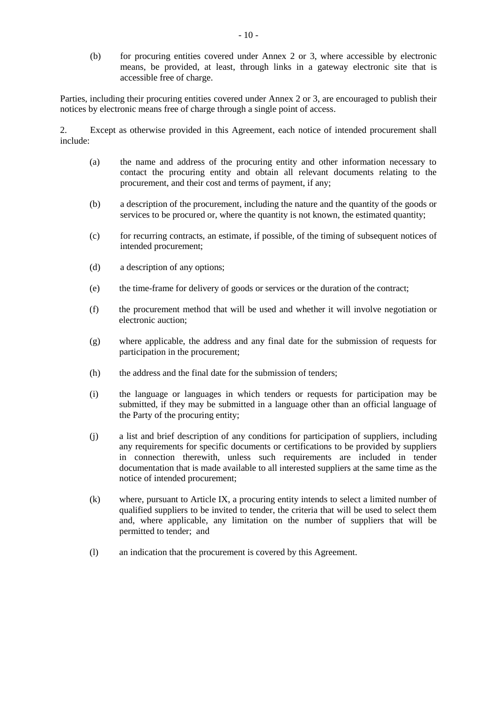(b) for procuring entities covered under Annex 2 or 3, where accessible by electronic means, be provided, at least, through links in a gateway electronic site that is accessible free of charge.

Parties, including their procuring entities covered under Annex 2 or 3, are encouraged to publish their notices by electronic means free of charge through a single point of access.

2. Except as otherwise provided in this Agreement, each notice of intended procurement shall include:

- (a) the name and address of the procuring entity and other information necessary to contact the procuring entity and obtain all relevant documents relating to the procurement, and their cost and terms of payment, if any;
- (b) a description of the procurement, including the nature and the quantity of the goods or services to be procured or, where the quantity is not known, the estimated quantity;
- (c) for recurring contracts, an estimate, if possible, of the timing of subsequent notices of intended procurement;
- (d) a description of any options;
- (e) the time-frame for delivery of goods or services or the duration of the contract;
- (f) the procurement method that will be used and whether it will involve negotiation or electronic auction;
- (g) where applicable, the address and any final date for the submission of requests for participation in the procurement;
- (h) the address and the final date for the submission of tenders;
- (i) the language or languages in which tenders or requests for participation may be submitted, if they may be submitted in a language other than an official language of the Party of the procuring entity;
- (j) a list and brief description of any conditions for participation of suppliers, including any requirements for specific documents or certifications to be provided by suppliers in connection therewith, unless such requirements are included in tender documentation that is made available to all interested suppliers at the same time as the notice of intended procurement;
- (k) where, pursuant to Article IX, a procuring entity intends to select a limited number of qualified suppliers to be invited to tender, the criteria that will be used to select them and, where applicable, any limitation on the number of suppliers that will be permitted to tender; and
- (l) an indication that the procurement is covered by this Agreement.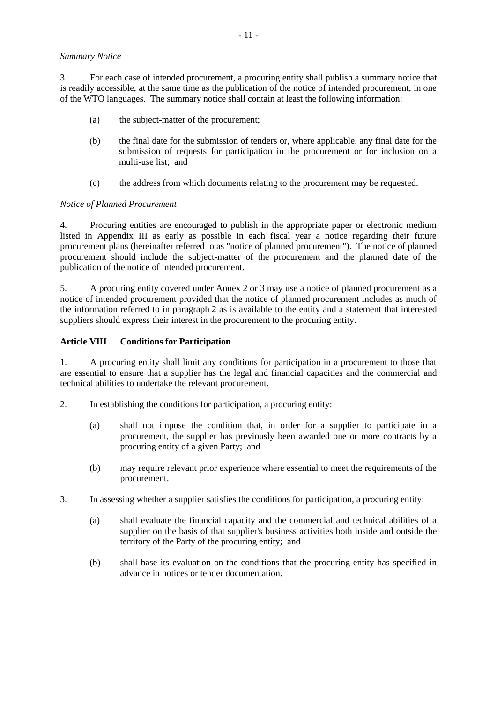### *Summary Notice*

3. For each case of intended procurement, a procuring entity shall publish a summary notice that is readily accessible, at the same time as the publication of the notice of intended procurement, in one of the WTO languages. The summary notice shall contain at least the following information:

- (a) the subject-matter of the procurement;
- (b) the final date for the submission of tenders or, where applicable, any final date for the submission of requests for participation in the procurement or for inclusion on a multi-use list; and
- (c) the address from which documents relating to the procurement may be requested.

# *Notice of Planned Procurement*

4. Procuring entities are encouraged to publish in the appropriate paper or electronic medium listed in Appendix III as early as possible in each fiscal year a notice regarding their future procurement plans (hereinafter referred to as "notice of planned procurement"). The notice of planned procurement should include the subject-matter of the procurement and the planned date of the publication of the notice of intended procurement.

5. A procuring entity covered under Annex 2 or 3 may use a notice of planned procurement as a notice of intended procurement provided that the notice of planned procurement includes as much of the information referred to in paragraph 2 as is available to the entity and a statement that interested suppliers should express their interest in the procurement to the procuring entity.

# **Article VIII Conditions for Participation**

1. A procuring entity shall limit any conditions for participation in a procurement to those that are essential to ensure that a supplier has the legal and financial capacities and the commercial and technical abilities to undertake the relevant procurement.

- 2. In establishing the conditions for participation, a procuring entity:
	- (a) shall not impose the condition that, in order for a supplier to participate in a procurement, the supplier has previously been awarded one or more contracts by a procuring entity of a given Party; and
	- (b) may require relevant prior experience where essential to meet the requirements of the procurement.
- 3. In assessing whether a supplier satisfies the conditions for participation, a procuring entity:
	- (a) shall evaluate the financial capacity and the commercial and technical abilities of a supplier on the basis of that supplier's business activities both inside and outside the territory of the Party of the procuring entity; and
	- (b) shall base its evaluation on the conditions that the procuring entity has specified in advance in notices or tender documentation.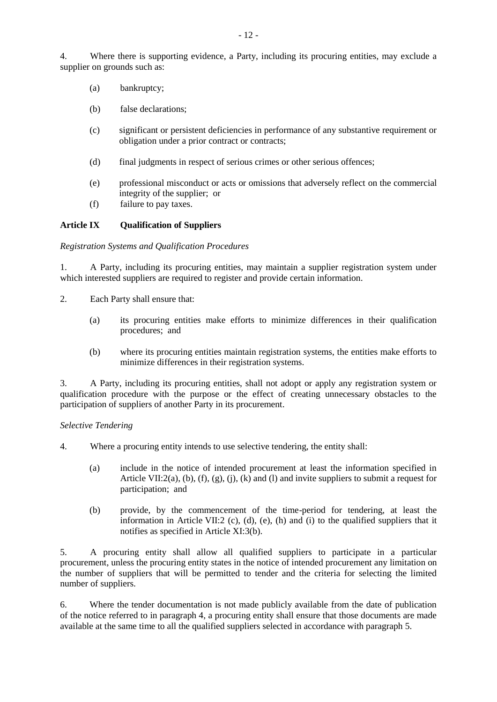4. Where there is supporting evidence, a Party, including its procuring entities, may exclude a supplier on grounds such as:

- (a) bankruptcy;
- (b) false declarations;
- (c) significant or persistent deficiencies in performance of any substantive requirement or obligation under a prior contract or contracts;
- (d) final judgments in respect of serious crimes or other serious offences;
- (e) professional misconduct or acts or omissions that adversely reflect on the commercial integrity of the supplier; or
- (f) failure to pay taxes.

# **Article IX Qualification of Suppliers**

*Registration Systems and Qualification Procedures*

1. A Party, including its procuring entities, may maintain a supplier registration system under which interested suppliers are required to register and provide certain information.

- 2. Each Party shall ensure that:
	- (a) its procuring entities make efforts to minimize differences in their qualification procedures; and
	- (b) where its procuring entities maintain registration systems, the entities make efforts to minimize differences in their registration systems.

3. A Party, including its procuring entities, shall not adopt or apply any registration system or qualification procedure with the purpose or the effect of creating unnecessary obstacles to the participation of suppliers of another Party in its procurement.

#### *Selective Tendering*

- 4. Where a procuring entity intends to use selective tendering, the entity shall:
	- (a) include in the notice of intended procurement at least the information specified in Article VII:2(a), (b), (f), (g), (j), (k) and (l) and invite suppliers to submit a request for participation; and
	- (b) provide, by the commencement of the time-period for tendering, at least the information in Article VII:2 (c), (d), (e), (h) and (i) to the qualified suppliers that it notifies as specified in Article XI:3(b).

5. A procuring entity shall allow all qualified suppliers to participate in a particular procurement, unless the procuring entity states in the notice of intended procurement any limitation on the number of suppliers that will be permitted to tender and the criteria for selecting the limited number of suppliers.

6. Where the tender documentation is not made publicly available from the date of publication of the notice referred to in paragraph 4, a procuring entity shall ensure that those documents are made available at the same time to all the qualified suppliers selected in accordance with paragraph 5.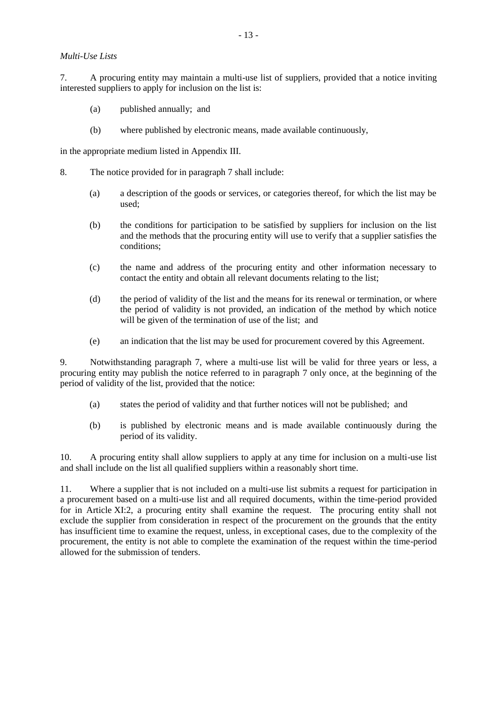### *Multi-Use Lists*

7. A procuring entity may maintain a multi-use list of suppliers, provided that a notice inviting interested suppliers to apply for inclusion on the list is:

- (a) published annually; and
- (b) where published by electronic means, made available continuously,

in the appropriate medium listed in Appendix III.

- 8. The notice provided for in paragraph 7 shall include:
	- (a) a description of the goods or services, or categories thereof, for which the list may be used;
	- (b) the conditions for participation to be satisfied by suppliers for inclusion on the list and the methods that the procuring entity will use to verify that a supplier satisfies the conditions;
	- (c) the name and address of the procuring entity and other information necessary to contact the entity and obtain all relevant documents relating to the list;
	- (d) the period of validity of the list and the means for its renewal or termination, or where the period of validity is not provided, an indication of the method by which notice will be given of the termination of use of the list; and
	- (e) an indication that the list may be used for procurement covered by this Agreement.

9. Notwithstanding paragraph 7, where a multi-use list will be valid for three years or less, a procuring entity may publish the notice referred to in paragraph 7 only once, at the beginning of the period of validity of the list, provided that the notice:

- (a) states the period of validity and that further notices will not be published; and
- (b) is published by electronic means and is made available continuously during the period of its validity.

10. A procuring entity shall allow suppliers to apply at any time for inclusion on a multi-use list and shall include on the list all qualified suppliers within a reasonably short time.

11. Where a supplier that is not included on a multi-use list submits a request for participation in a procurement based on a multi-use list and all required documents, within the time-period provided for in Article XI:2, a procuring entity shall examine the request. The procuring entity shall not exclude the supplier from consideration in respect of the procurement on the grounds that the entity has insufficient time to examine the request, unless, in exceptional cases, due to the complexity of the procurement, the entity is not able to complete the examination of the request within the time-period allowed for the submission of tenders.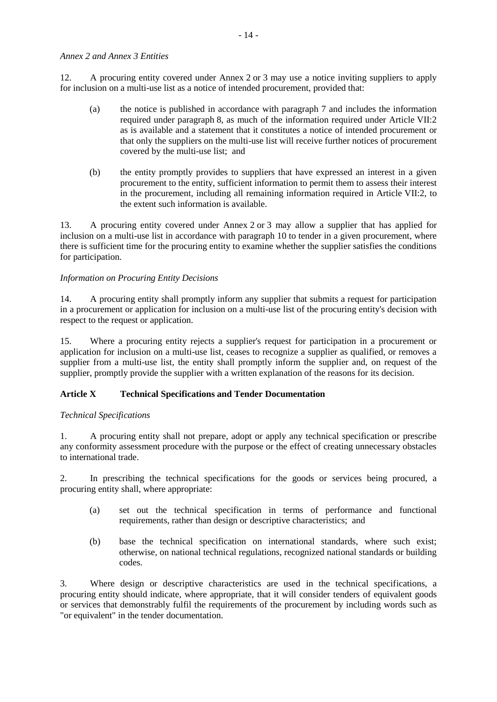*Annex 2 and Annex 3 Entities*

12. A procuring entity covered under Annex 2 or 3 may use a notice inviting suppliers to apply for inclusion on a multi-use list as a notice of intended procurement, provided that:

- (a) the notice is published in accordance with paragraph 7 and includes the information required under paragraph 8, as much of the information required under Article VII:2 as is available and a statement that it constitutes a notice of intended procurement or that only the suppliers on the multi-use list will receive further notices of procurement covered by the multi-use list; and
- (b) the entity promptly provides to suppliers that have expressed an interest in a given procurement to the entity, sufficient information to permit them to assess their interest in the procurement, including all remaining information required in Article VII:2, to the extent such information is available.

13. A procuring entity covered under Annex 2 or 3 may allow a supplier that has applied for inclusion on a multi-use list in accordance with paragraph 10 to tender in a given procurement, where there is sufficient time for the procuring entity to examine whether the supplier satisfies the conditions for participation.

# *Information on Procuring Entity Decisions*

14. A procuring entity shall promptly inform any supplier that submits a request for participation in a procurement or application for inclusion on a multi-use list of the procuring entity's decision with respect to the request or application.

15. Where a procuring entity rejects a supplier's request for participation in a procurement or application for inclusion on a multi-use list, ceases to recognize a supplier as qualified, or removes a supplier from a multi-use list, the entity shall promptly inform the supplier and, on request of the supplier, promptly provide the supplier with a written explanation of the reasons for its decision.

# **Article X Technical Specifications and Tender Documentation**

# *Technical Specifications*

1. A procuring entity shall not prepare, adopt or apply any technical specification or prescribe any conformity assessment procedure with the purpose or the effect of creating unnecessary obstacles to international trade.

2. In prescribing the technical specifications for the goods or services being procured, a procuring entity shall, where appropriate:

- (a) set out the technical specification in terms of performance and functional requirements, rather than design or descriptive characteristics; and
- (b) base the technical specification on international standards, where such exist; otherwise, on national technical regulations, recognized national standards or building codes.

3. Where design or descriptive characteristics are used in the technical specifications, a procuring entity should indicate, where appropriate, that it will consider tenders of equivalent goods or services that demonstrably fulfil the requirements of the procurement by including words such as "or equivalent" in the tender documentation.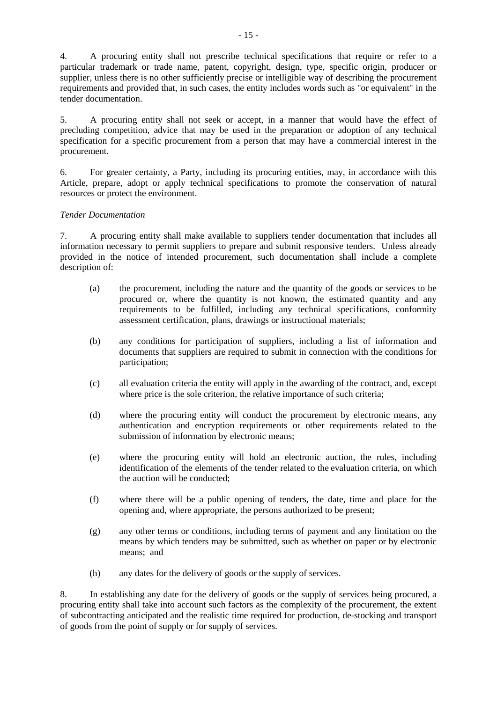4. A procuring entity shall not prescribe technical specifications that require or refer to a particular trademark or trade name, patent, copyright, design, type, specific origin, producer or supplier, unless there is no other sufficiently precise or intelligible way of describing the procurement requirements and provided that, in such cases, the entity includes words such as "or equivalent" in the tender documentation.

5. A procuring entity shall not seek or accept, in a manner that would have the effect of precluding competition, advice that may be used in the preparation or adoption of any technical specification for a specific procurement from a person that may have a commercial interest in the procurement.

6. For greater certainty, a Party, including its procuring entities, may, in accordance with this Article, prepare, adopt or apply technical specifications to promote the conservation of natural resources or protect the environment.

# *Tender Documentation*

7. A procuring entity shall make available to suppliers tender documentation that includes all information necessary to permit suppliers to prepare and submit responsive tenders. Unless already provided in the notice of intended procurement, such documentation shall include a complete description of:

- (a) the procurement, including the nature and the quantity of the goods or services to be procured or, where the quantity is not known, the estimated quantity and any requirements to be fulfilled, including any technical specifications, conformity assessment certification, plans, drawings or instructional materials;
- (b) any conditions for participation of suppliers, including a list of information and documents that suppliers are required to submit in connection with the conditions for participation;
- (c) all evaluation criteria the entity will apply in the awarding of the contract, and, except where price is the sole criterion, the relative importance of such criteria;
- (d) where the procuring entity will conduct the procurement by electronic means, any authentication and encryption requirements or other requirements related to the submission of information by electronic means;
- (e) where the procuring entity will hold an electronic auction, the rules, including identification of the elements of the tender related to the evaluation criteria, on which the auction will be conducted;
- (f) where there will be a public opening of tenders, the date, time and place for the opening and, where appropriate, the persons authorized to be present;
- (g) any other terms or conditions, including terms of payment and any limitation on the means by which tenders may be submitted, such as whether on paper or by electronic means; and
- (h) any dates for the delivery of goods or the supply of services.

8. In establishing any date for the delivery of goods or the supply of services being procured, a procuring entity shall take into account such factors as the complexity of the procurement, the extent of subcontracting anticipated and the realistic time required for production, de-stocking and transport of goods from the point of supply or for supply of services.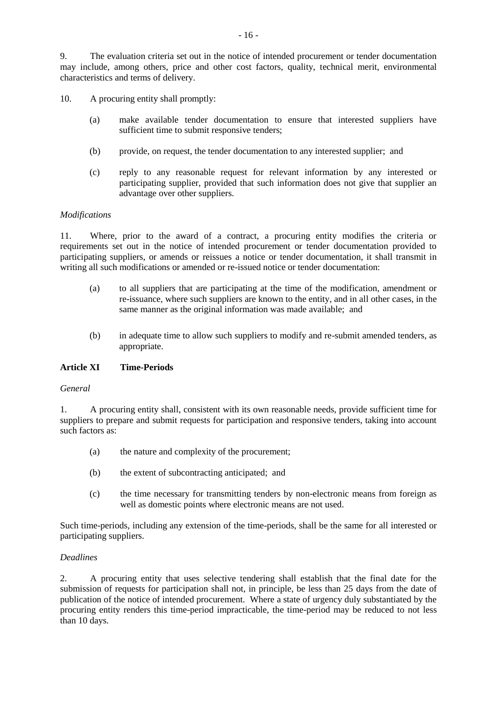9. The evaluation criteria set out in the notice of intended procurement or tender documentation may include, among others, price and other cost factors, quality, technical merit, environmental characteristics and terms of delivery.

10. A procuring entity shall promptly:

- (a) make available tender documentation to ensure that interested suppliers have sufficient time to submit responsive tenders;
- (b) provide, on request, the tender documentation to any interested supplier; and
- (c) reply to any reasonable request for relevant information by any interested or participating supplier, provided that such information does not give that supplier an advantage over other suppliers.

#### *Modifications*

11. Where, prior to the award of a contract, a procuring entity modifies the criteria or requirements set out in the notice of intended procurement or tender documentation provided to participating suppliers, or amends or reissues a notice or tender documentation, it shall transmit in writing all such modifications or amended or re-issued notice or tender documentation:

- (a) to all suppliers that are participating at the time of the modification, amendment or re-issuance, where such suppliers are known to the entity, and in all other cases, in the same manner as the original information was made available; and
- (b) in adequate time to allow such suppliers to modify and re-submit amended tenders, as appropriate.

# **Article XI Time-Periods**

#### *General*

1. A procuring entity shall, consistent with its own reasonable needs, provide sufficient time for suppliers to prepare and submit requests for participation and responsive tenders, taking into account such factors as:

- (a) the nature and complexity of the procurement;
- (b) the extent of subcontracting anticipated; and
- (c) the time necessary for transmitting tenders by non-electronic means from foreign as well as domestic points where electronic means are not used.

Such time-periods, including any extension of the time-periods, shall be the same for all interested or participating suppliers.

# *Deadlines*

2. A procuring entity that uses selective tendering shall establish that the final date for the submission of requests for participation shall not, in principle, be less than 25 days from the date of publication of the notice of intended procurement. Where a state of urgency duly substantiated by the procuring entity renders this time-period impracticable, the time-period may be reduced to not less than 10 days.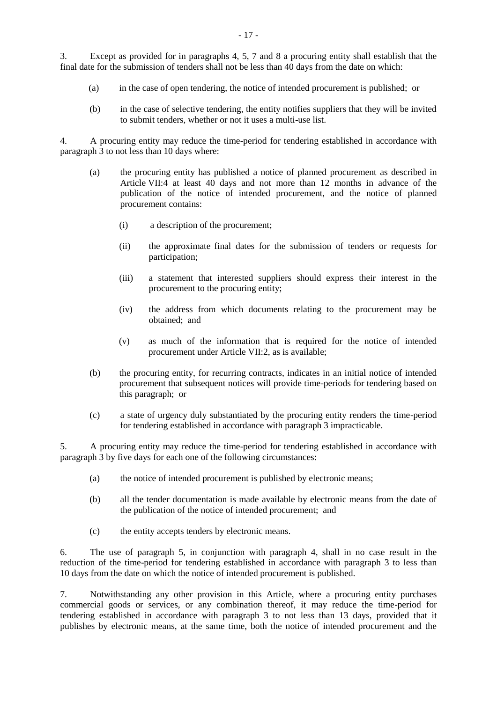3. Except as provided for in paragraphs 4, 5, 7 and 8 a procuring entity shall establish that the final date for the submission of tenders shall not be less than 40 days from the date on which:

- (a) in the case of open tendering, the notice of intended procurement is published; or
- (b) in the case of selective tendering, the entity notifies suppliers that they will be invited to submit tenders, whether or not it uses a multi-use list.

4. A procuring entity may reduce the time-period for tendering established in accordance with paragraph 3 to not less than 10 days where:

- (a) the procuring entity has published a notice of planned procurement as described in Article VII:4 at least 40 days and not more than 12 months in advance of the publication of the notice of intended procurement, and the notice of planned procurement contains:
	- (i) a description of the procurement;
	- (ii) the approximate final dates for the submission of tenders or requests for participation;
	- (iii) a statement that interested suppliers should express their interest in the procurement to the procuring entity;
	- (iv) the address from which documents relating to the procurement may be obtained; and
	- (v) as much of the information that is required for the notice of intended procurement under Article VII:2, as is available;
- (b) the procuring entity, for recurring contracts, indicates in an initial notice of intended procurement that subsequent notices will provide time-periods for tendering based on this paragraph; or
- (c) a state of urgency duly substantiated by the procuring entity renders the time-period for tendering established in accordance with paragraph 3 impracticable.

5. A procuring entity may reduce the time-period for tendering established in accordance with paragraph 3 by five days for each one of the following circumstances:

- (a) the notice of intended procurement is published by electronic means;
- (b) all the tender documentation is made available by electronic means from the date of the publication of the notice of intended procurement; and
- (c) the entity accepts tenders by electronic means.

6. The use of paragraph 5, in conjunction with paragraph 4, shall in no case result in the reduction of the time-period for tendering established in accordance with paragraph 3 to less than 10 days from the date on which the notice of intended procurement is published.

7. Notwithstanding any other provision in this Article, where a procuring entity purchases commercial goods or services, or any combination thereof, it may reduce the time-period for tendering established in accordance with paragraph 3 to not less than 13 days, provided that it publishes by electronic means, at the same time, both the notice of intended procurement and the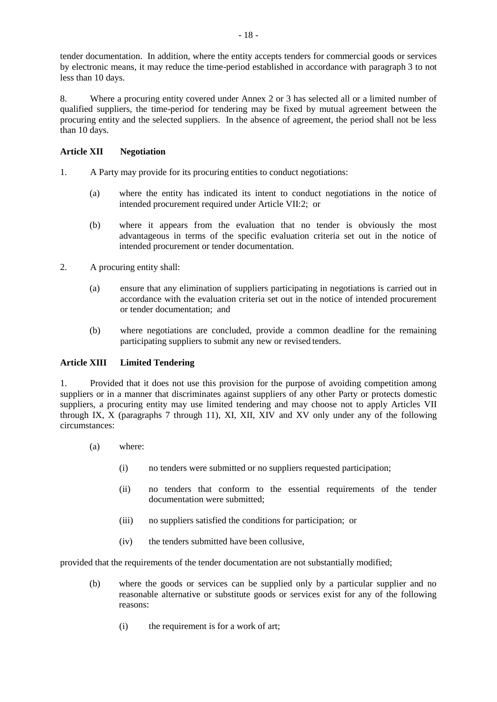tender documentation. In addition, where the entity accepts tenders for commercial goods or services by electronic means, it may reduce the time-period established in accordance with paragraph 3 to not less than 10 days.

8. Where a procuring entity covered under Annex 2 or 3 has selected all or a limited number of qualified suppliers, the time-period for tendering may be fixed by mutual agreement between the procuring entity and the selected suppliers. In the absence of agreement, the period shall not be less than 10 days.

# **Article XII Negotiation**

- 1. A Party may provide for its procuring entities to conduct negotiations:
	- (a) where the entity has indicated its intent to conduct negotiations in the notice of intended procurement required under Article VII:2; or
	- (b) where it appears from the evaluation that no tender is obviously the most advantageous in terms of the specific evaluation criteria set out in the notice of intended procurement or tender documentation.
- 2. A procuring entity shall:
	- (a) ensure that any elimination of suppliers participating in negotiations is carried out in accordance with the evaluation criteria set out in the notice of intended procurement or tender documentation; and
	- (b) where negotiations are concluded, provide a common deadline for the remaining participating suppliers to submit any new or revised tenders.

# **Article XIII Limited Tendering**

1. Provided that it does not use this provision for the purpose of avoiding competition among suppliers or in a manner that discriminates against suppliers of any other Party or protects domestic suppliers, a procuring entity may use limited tendering and may choose not to apply Articles VII through IX, X (paragraphs 7 through 11), XI, XII, XIV and XV only under any of the following circumstances:

- (a) where:
	- (i) no tenders were submitted or no suppliers requested participation;
	- (ii) no tenders that conform to the essential requirements of the tender documentation were submitted;
	- (iii) no suppliers satisfied the conditions for participation; or
	- (iv) the tenders submitted have been collusive,

provided that the requirements of the tender documentation are not substantially modified;

- (b) where the goods or services can be supplied only by a particular supplier and no reasonable alternative or substitute goods or services exist for any of the following reasons:
	- (i) the requirement is for a work of art;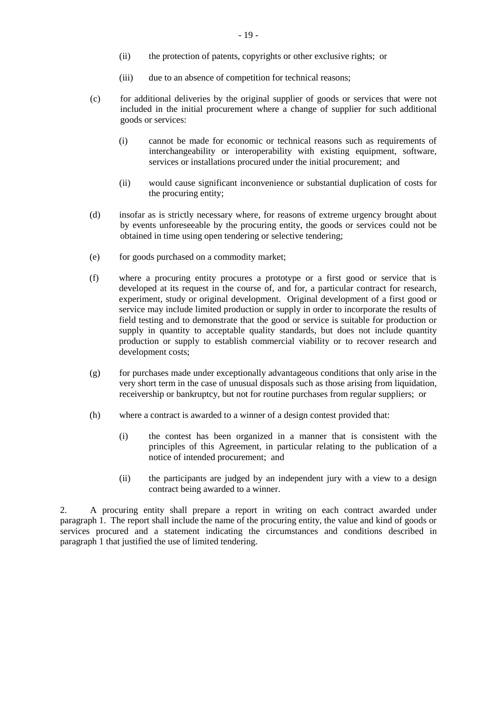- (ii) the protection of patents, copyrights or other exclusive rights; or
- (iii) due to an absence of competition for technical reasons;
- (c) for additional deliveries by the original supplier of goods or services that were not included in the initial procurement where a change of supplier for such additional goods or services:
	- (i) cannot be made for economic or technical reasons such as requirements of interchangeability or interoperability with existing equipment, software, services or installations procured under the initial procurement; and
	- (ii) would cause significant inconvenience or substantial duplication of costs for the procuring entity;
- (d) insofar as is strictly necessary where, for reasons of extreme urgency brought about by events unforeseeable by the procuring entity, the goods or services could not be obtained in time using open tendering or selective tendering;
- (e) for goods purchased on a commodity market;
- (f) where a procuring entity procures a prototype or a first good or service that is developed at its request in the course of, and for, a particular contract for research, experiment, study or original development. Original development of a first good or service may include limited production or supply in order to incorporate the results of field testing and to demonstrate that the good or service is suitable for production or supply in quantity to acceptable quality standards, but does not include quantity production or supply to establish commercial viability or to recover research and development costs;
- (g) for purchases made under exceptionally advantageous conditions that only arise in the very short term in the case of unusual disposals such as those arising from liquidation, receivership or bankruptcy, but not for routine purchases from regular suppliers; or
- (h) where a contract is awarded to a winner of a design contest provided that:
	- (i) the contest has been organized in a manner that is consistent with the principles of this Agreement, in particular relating to the publication of a notice of intended procurement; and
	- (ii) the participants are judged by an independent jury with a view to a design contract being awarded to a winner.

2. A procuring entity shall prepare a report in writing on each contract awarded under paragraph 1. The report shall include the name of the procuring entity, the value and kind of goods or services procured and a statement indicating the circumstances and conditions described in paragraph 1 that justified the use of limited tendering.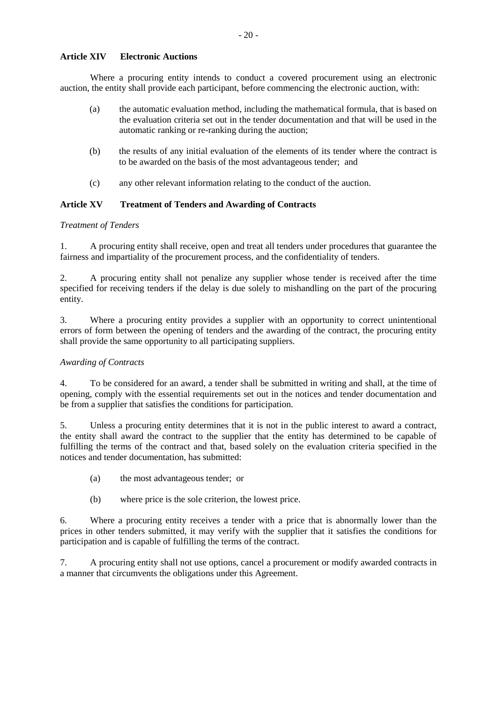# **Article XIV Electronic Auctions**

Where a procuring entity intends to conduct a covered procurement using an electronic auction, the entity shall provide each participant, before commencing the electronic auction, with:

- (a) the automatic evaluation method, including the mathematical formula, that is based on the evaluation criteria set out in the tender documentation and that will be used in the automatic ranking or re-ranking during the auction;
- (b) the results of any initial evaluation of the elements of its tender where the contract is to be awarded on the basis of the most advantageous tender; and
- (c) any other relevant information relating to the conduct of the auction.

# **Article XV Treatment of Tenders and Awarding of Contracts**

# *Treatment of Tenders*

1. A procuring entity shall receive, open and treat all tenders under procedures that guarantee the fairness and impartiality of the procurement process, and the confidentiality of tenders.

2. A procuring entity shall not penalize any supplier whose tender is received after the time specified for receiving tenders if the delay is due solely to mishandling on the part of the procuring entity.

3. Where a procuring entity provides a supplier with an opportunity to correct unintentional errors of form between the opening of tenders and the awarding of the contract, the procuring entity shall provide the same opportunity to all participating suppliers.

# *Awarding of Contracts*

4. To be considered for an award, a tender shall be submitted in writing and shall, at the time of opening, comply with the essential requirements set out in the notices and tender documentation and be from a supplier that satisfies the conditions for participation.

5. Unless a procuring entity determines that it is not in the public interest to award a contract, the entity shall award the contract to the supplier that the entity has determined to be capable of fulfilling the terms of the contract and that, based solely on the evaluation criteria specified in the notices and tender documentation, has submitted:

- (a) the most advantageous tender; or
- (b) where price is the sole criterion, the lowest price.

6. Where a procuring entity receives a tender with a price that is abnormally lower than the prices in other tenders submitted, it may verify with the supplier that it satisfies the conditions for participation and is capable of fulfilling the terms of the contract.

7. A procuring entity shall not use options, cancel a procurement or modify awarded contracts in a manner that circumvents the obligations under this Agreement.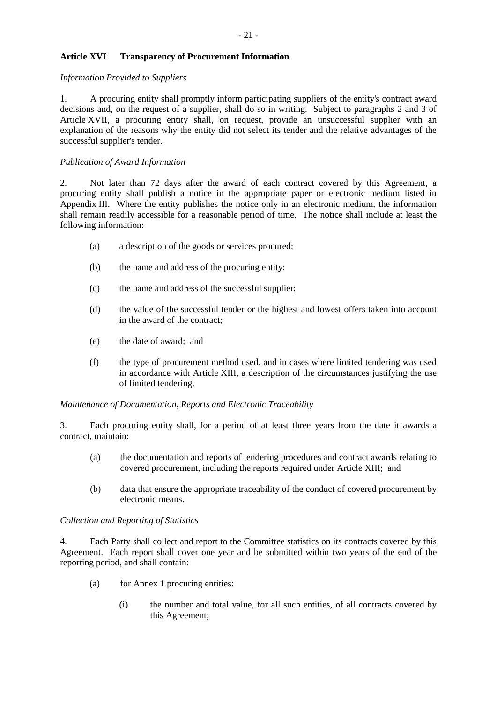# **Article XVI Transparency of Procurement Information**

# *Information Provided to Suppliers*

1. A procuring entity shall promptly inform participating suppliers of the entity's contract award decisions and, on the request of a supplier, shall do so in writing. Subject to paragraphs 2 and 3 of Article XVII, a procuring entity shall, on request, provide an unsuccessful supplier with an explanation of the reasons why the entity did not select its tender and the relative advantages of the successful supplier's tender.

# *Publication of Award Information*

2. Not later than 72 days after the award of each contract covered by this Agreement, a procuring entity shall publish a notice in the appropriate paper or electronic medium listed in Appendix III. Where the entity publishes the notice only in an electronic medium, the information shall remain readily accessible for a reasonable period of time. The notice shall include at least the following information:

- (a) a description of the goods or services procured;
- (b) the name and address of the procuring entity;
- (c) the name and address of the successful supplier;
- (d) the value of the successful tender or the highest and lowest offers taken into account in the award of the contract;
- (e) the date of award; and
- (f) the type of procurement method used, and in cases where limited tendering was used in accordance with Article XIII, a description of the circumstances justifying the use of limited tendering.

# *Maintenance of Documentation, Reports and Electronic Traceability*

3. Each procuring entity shall, for a period of at least three years from the date it awards a contract, maintain:

- (a) the documentation and reports of tendering procedures and contract awards relating to covered procurement, including the reports required under Article XIII; and
- (b) data that ensure the appropriate traceability of the conduct of covered procurement by electronic means.

# *Collection and Reporting of Statistics*

4. Each Party shall collect and report to the Committee statistics on its contracts covered by this Agreement. Each report shall cover one year and be submitted within two years of the end of the reporting period, and shall contain:

- (a) for Annex 1 procuring entities:
	- (i) the number and total value, for all such entities, of all contracts covered by this Agreement;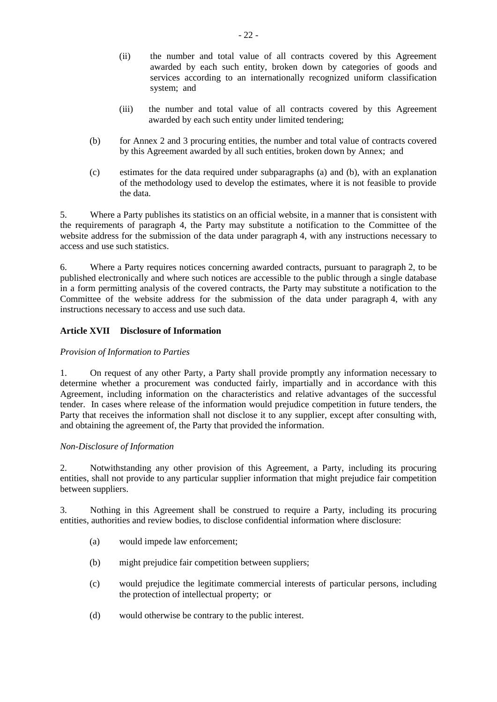- (ii) the number and total value of all contracts covered by this Agreement awarded by each such entity, broken down by categories of goods and services according to an internationally recognized uniform classification system; and
- (iii) the number and total value of all contracts covered by this Agreement awarded by each such entity under limited tendering;
- (b) for Annex 2 and 3 procuring entities, the number and total value of contracts covered by this Agreement awarded by all such entities, broken down by Annex; and
- (c) estimates for the data required under subparagraphs (a) and (b), with an explanation of the methodology used to develop the estimates, where it is not feasible to provide the data.

5. Where a Party publishes its statistics on an official website, in a manner that is consistent with the requirements of paragraph 4, the Party may substitute a notification to the Committee of the website address for the submission of the data under paragraph 4, with any instructions necessary to access and use such statistics.

6. Where a Party requires notices concerning awarded contracts, pursuant to paragraph 2, to be published electronically and where such notices are accessible to the public through a single database in a form permitting analysis of the covered contracts, the Party may substitute a notification to the Committee of the website address for the submission of the data under paragraph 4, with any instructions necessary to access and use such data.

# **Article XVII Disclosure of Information**

# *Provision of Information to Parties*

1. On request of any other Party, a Party shall provide promptly any information necessary to determine whether a procurement was conducted fairly, impartially and in accordance with this Agreement, including information on the characteristics and relative advantages of the successful tender. In cases where release of the information would prejudice competition in future tenders, the Party that receives the information shall not disclose it to any supplier, except after consulting with, and obtaining the agreement of, the Party that provided the information.

# *Non-Disclosure of Information*

2. Notwithstanding any other provision of this Agreement, a Party, including its procuring entities, shall not provide to any particular supplier information that might prejudice fair competition between suppliers.

3. Nothing in this Agreement shall be construed to require a Party, including its procuring entities, authorities and review bodies, to disclose confidential information where disclosure:

- (a) would impede law enforcement;
- (b) might prejudice fair competition between suppliers;
- (c) would prejudice the legitimate commercial interests of particular persons, including the protection of intellectual property; or
- (d) would otherwise be contrary to the public interest.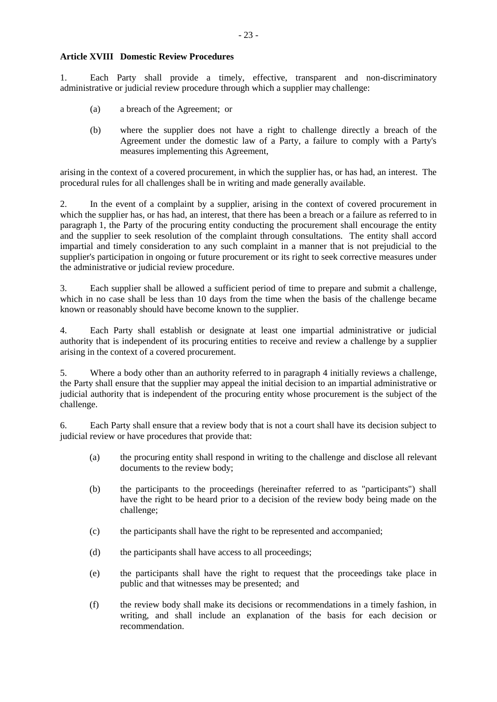### **Article XVIII Domestic Review Procedures**

1. Each Party shall provide a timely, effective, transparent and non-discriminatory administrative or judicial review procedure through which a supplier may challenge:

- (a) a breach of the Agreement; or
- (b) where the supplier does not have a right to challenge directly a breach of the Agreement under the domestic law of a Party, a failure to comply with a Party's measures implementing this Agreement,

arising in the context of a covered procurement, in which the supplier has, or has had, an interest. The procedural rules for all challenges shall be in writing and made generally available.

2. In the event of a complaint by a supplier, arising in the context of covered procurement in which the supplier has, or has had, an interest, that there has been a breach or a failure as referred to in paragraph 1, the Party of the procuring entity conducting the procurement shall encourage the entity and the supplier to seek resolution of the complaint through consultations. The entity shall accord impartial and timely consideration to any such complaint in a manner that is not prejudicial to the supplier's participation in ongoing or future procurement or its right to seek corrective measures under the administrative or judicial review procedure.

3. Each supplier shall be allowed a sufficient period of time to prepare and submit a challenge, which in no case shall be less than 10 days from the time when the basis of the challenge became known or reasonably should have become known to the supplier.

4. Each Party shall establish or designate at least one impartial administrative or judicial authority that is independent of its procuring entities to receive and review a challenge by a supplier arising in the context of a covered procurement.

5. Where a body other than an authority referred to in paragraph 4 initially reviews a challenge, the Party shall ensure that the supplier may appeal the initial decision to an impartial administrative or judicial authority that is independent of the procuring entity whose procurement is the subject of the challenge.

6. Each Party shall ensure that a review body that is not a court shall have its decision subject to judicial review or have procedures that provide that:

- (a) the procuring entity shall respond in writing to the challenge and disclose all relevant documents to the review body;
- (b) the participants to the proceedings (hereinafter referred to as "participants") shall have the right to be heard prior to a decision of the review body being made on the challenge;
- (c) the participants shall have the right to be represented and accompanied;
- (d) the participants shall have access to all proceedings;
- (e) the participants shall have the right to request that the proceedings take place in public and that witnesses may be presented; and
- (f) the review body shall make its decisions or recommendations in a timely fashion, in writing, and shall include an explanation of the basis for each decision or recommendation.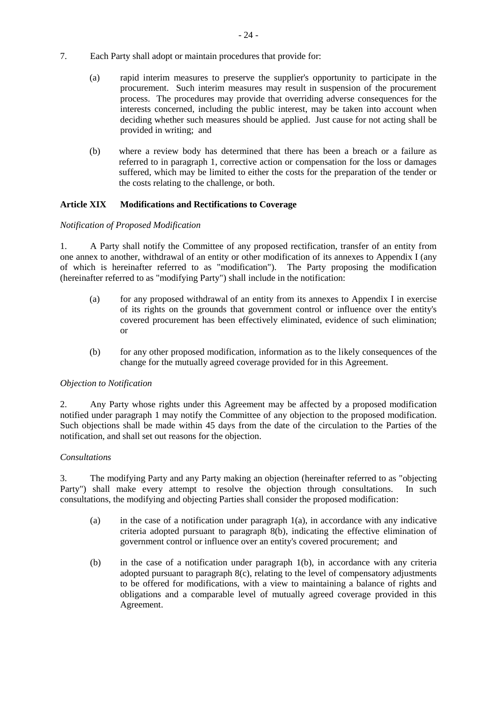- 7. Each Party shall adopt or maintain procedures that provide for:
	- (a) rapid interim measures to preserve the supplier's opportunity to participate in the procurement. Such interim measures may result in suspension of the procurement process. The procedures may provide that overriding adverse consequences for the interests concerned, including the public interest, may be taken into account when deciding whether such measures should be applied. Just cause for not acting shall be provided in writing; and
	- (b) where a review body has determined that there has been a breach or a failure as referred to in paragraph 1, corrective action or compensation for the loss or damages suffered, which may be limited to either the costs for the preparation of the tender or the costs relating to the challenge, or both.

# **Article XIX Modifications and Rectifications to Coverage**

# *Notification of Proposed Modification*

1. A Party shall notify the Committee of any proposed rectification, transfer of an entity from one annex to another, withdrawal of an entity or other modification of its annexes to Appendix I (any of which is hereinafter referred to as "modification"). The Party proposing the modification (hereinafter referred to as "modifying Party") shall include in the notification:

- (a) for any proposed withdrawal of an entity from its annexes to Appendix I in exercise of its rights on the grounds that government control or influence over the entity's covered procurement has been effectively eliminated, evidence of such elimination; or
- (b) for any other proposed modification, information as to the likely consequences of the change for the mutually agreed coverage provided for in this Agreement.

# *Objection to Notification*

2. Any Party whose rights under this Agreement may be affected by a proposed modification notified under paragraph 1 may notify the Committee of any objection to the proposed modification. Such objections shall be made within 45 days from the date of the circulation to the Parties of the notification, and shall set out reasons for the objection.

# *Consultations*

3. The modifying Party and any Party making an objection (hereinafter referred to as "objecting Party") shall make every attempt to resolve the objection through consultations. In such consultations, the modifying and objecting Parties shall consider the proposed modification:

- (a) in the case of a notification under paragraph  $1(a)$ , in accordance with any indicative criteria adopted pursuant to paragraph 8(b), indicating the effective elimination of government control or influence over an entity's covered procurement; and
- (b) in the case of a notification under paragraph 1(b), in accordance with any criteria adopted pursuant to paragraph 8(c), relating to the level of compensatory adjustments to be offered for modifications, with a view to maintaining a balance of rights and obligations and a comparable level of mutually agreed coverage provided in this Agreement.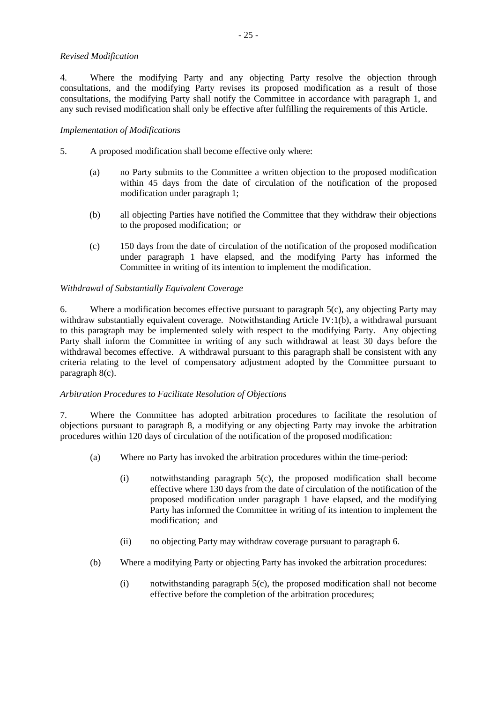# *Revised Modification*

4. Where the modifying Party and any objecting Party resolve the objection through consultations, and the modifying Party revises its proposed modification as a result of those consultations, the modifying Party shall notify the Committee in accordance with paragraph 1, and any such revised modification shall only be effective after fulfilling the requirements of this Article.

### *Implementation of Modifications*

- 5. A proposed modification shall become effective only where:
	- (a) no Party submits to the Committee a written objection to the proposed modification within 45 days from the date of circulation of the notification of the proposed modification under paragraph 1;
	- (b) all objecting Parties have notified the Committee that they withdraw their objections to the proposed modification; or
	- (c) 150 days from the date of circulation of the notification of the proposed modification under paragraph 1 have elapsed, and the modifying Party has informed the Committee in writing of its intention to implement the modification.

### *Withdrawal of Substantially Equivalent Coverage*

6. Where a modification becomes effective pursuant to paragraph 5(c), any objecting Party may withdraw substantially equivalent coverage. Notwithstanding Article IV:1(b), a withdrawal pursuant to this paragraph may be implemented solely with respect to the modifying Party. Any objecting Party shall inform the Committee in writing of any such withdrawal at least 30 days before the withdrawal becomes effective. A withdrawal pursuant to this paragraph shall be consistent with any criteria relating to the level of compensatory adjustment adopted by the Committee pursuant to paragraph 8(c).

# *Arbitration Procedures to Facilitate Resolution of Objections*

7. Where the Committee has adopted arbitration procedures to facilitate the resolution of objections pursuant to paragraph 8, a modifying or any objecting Party may invoke the arbitration procedures within 120 days of circulation of the notification of the proposed modification:

- (a) Where no Party has invoked the arbitration procedures within the time-period:
	- (i) notwithstanding paragraph 5(c), the proposed modification shall become effective where 130 days from the date of circulation of the notification of the proposed modification under paragraph 1 have elapsed, and the modifying Party has informed the Committee in writing of its intention to implement the modification; and
	- (ii) no objecting Party may withdraw coverage pursuant to paragraph 6.
- (b) Where a modifying Party or objecting Party has invoked the arbitration procedures:
	- (i) notwithstanding paragraph 5(c), the proposed modification shall not become effective before the completion of the arbitration procedures;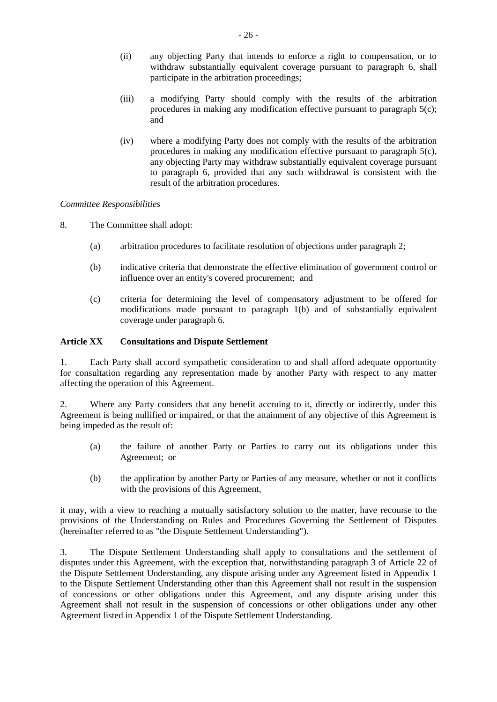- (ii) any objecting Party that intends to enforce a right to compensation, or to withdraw substantially equivalent coverage pursuant to paragraph 6, shall participate in the arbitration proceedings;
- (iii) a modifying Party should comply with the results of the arbitration procedures in making any modification effective pursuant to paragraph 5(c); and
- (iv) where a modifying Party does not comply with the results of the arbitration procedures in making any modification effective pursuant to paragraph 5(c), any objecting Party may withdraw substantially equivalent coverage pursuant to paragraph 6, provided that any such withdrawal is consistent with the result of the arbitration procedures.

# *Committee Responsibilities*

- 8. The Committee shall adopt:
	- (a) arbitration procedures to facilitate resolution of objections under paragraph 2;
	- (b) indicative criteria that demonstrate the effective elimination of government control or influence over an entity's covered procurement; and
	- (c) criteria for determining the level of compensatory adjustment to be offered for modifications made pursuant to paragraph 1(b) and of substantially equivalent coverage under paragraph 6.

# **Article XX Consultations and Dispute Settlement**

1. Each Party shall accord sympathetic consideration to and shall afford adequate opportunity for consultation regarding any representation made by another Party with respect to any matter affecting the operation of this Agreement.

2. Where any Party considers that any benefit accruing to it, directly or indirectly, under this Agreement is being nullified or impaired, or that the attainment of any objective of this Agreement is being impeded as the result of:

- (a) the failure of another Party or Parties to carry out its obligations under this Agreement; or
- (b) the application by another Party or Parties of any measure, whether or not it conflicts with the provisions of this Agreement,

it may, with a view to reaching a mutually satisfactory solution to the matter, have recourse to the provisions of the Understanding on Rules and Procedures Governing the Settlement of Disputes (hereinafter referred to as "the Dispute Settlement Understanding").

3. The Dispute Settlement Understanding shall apply to consultations and the settlement of disputes under this Agreement, with the exception that, notwithstanding paragraph 3 of Article 22 of the Dispute Settlement Understanding, any dispute arising under any Agreement listed in Appendix 1 to the Dispute Settlement Understanding other than this Agreement shall not result in the suspension of concessions or other obligations under this Agreement, and any dispute arising under this Agreement shall not result in the suspension of concessions or other obligations under any other Agreement listed in Appendix 1 of the Dispute Settlement Understanding.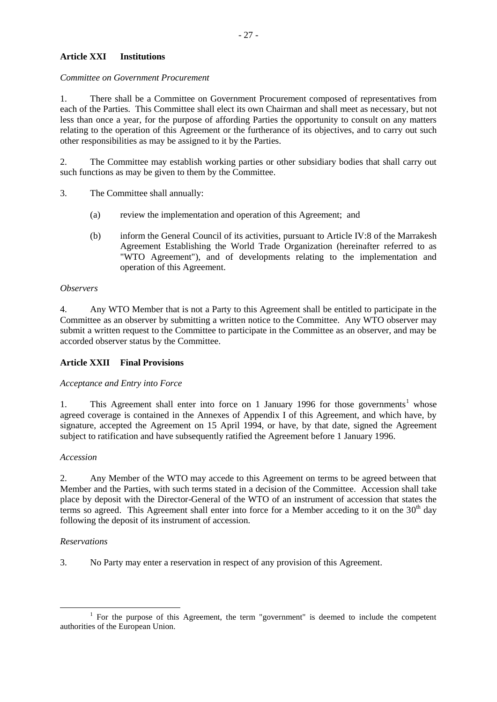# **Article XXI Institutions**

### *Committee on Government Procurement*

1. There shall be a Committee on Government Procurement composed of representatives from each of the Parties. This Committee shall elect its own Chairman and shall meet as necessary, but not less than once a year, for the purpose of affording Parties the opportunity to consult on any matters relating to the operation of this Agreement or the furtherance of its objectives, and to carry out such other responsibilities as may be assigned to it by the Parties.

2. The Committee may establish working parties or other subsidiary bodies that shall carry out such functions as may be given to them by the Committee.

- 3. The Committee shall annually:
	- (a) review the implementation and operation of this Agreement; and
	- (b) inform the General Council of its activities, pursuant to Article IV:8 of the Marrakesh Agreement Establishing the World Trade Organization (hereinafter referred to as "WTO Agreement"), and of developments relating to the implementation and operation of this Agreement.

#### *Observers*

4. Any WTO Member that is not a Party to this Agreement shall be entitled to participate in the Committee as an observer by submitting a written notice to the Committee. Any WTO observer may submit a written request to the Committee to participate in the Committee as an observer, and may be accorded observer status by the Committee.

# **Article XXII Final Provisions**

*Acceptance and Entry into Force*

1. This Agreement shall enter into force on 1 January 1996 for those governments<sup>1</sup> whose agreed coverage is contained in the Annexes of Appendix I of this Agreement, and which have, by signature, accepted the Agreement on 15 April 1994, or have, by that date, signed the Agreement subject to ratification and have subsequently ratified the Agreement before 1 January 1996.

# *Accession*

2. Any Member of the WTO may accede to this Agreement on terms to be agreed between that Member and the Parties, with such terms stated in a decision of the Committee. Accession shall take place by deposit with the Director-General of the WTO of an instrument of accession that states the terms so agreed. This Agreement shall enter into force for a Member acceding to it on the  $30<sup>th</sup>$  day following the deposit of its instrument of accession.

# *Reservations*

1

3. No Party may enter a reservation in respect of any provision of this Agreement.

 $<sup>1</sup>$  For the purpose of this Agreement, the term "government" is deemed to include the competent</sup> authorities of the European Union.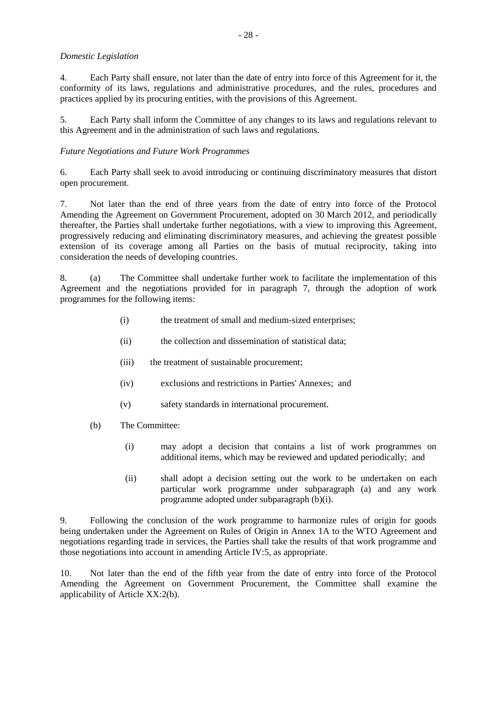### *Domestic Legislation*

4. Each Party shall ensure, not later than the date of entry into force of this Agreement for it, the conformity of its laws, regulations and administrative procedures, and the rules, procedures and practices applied by its procuring entities, with the provisions of this Agreement.

5. Each Party shall inform the Committee of any changes to its laws and regulations relevant to this Agreement and in the administration of such laws and regulations.

### *Future Negotiations and Future Work Programmes*

6. Each Party shall seek to avoid introducing or continuing discriminatory measures that distort open procurement.

7. Not later than the end of three years from the date of entry into force of the Protocol Amending the Agreement on Government Procurement, adopted on 30 March 2012, and periodically thereafter, the Parties shall undertake further negotiations, with a view to improving this Agreement, progressively reducing and eliminating discriminatory measures, and achieving the greatest possible extension of its coverage among all Parties on the basis of mutual reciprocity, taking into consideration the needs of developing countries.

8. (a) The Committee shall undertake further work to facilitate the implementation of this Agreement and the negotiations provided for in paragraph 7, through the adoption of work programmes for the following items:

- (i) the treatment of small and medium-sized enterprises;
- (ii) the collection and dissemination of statistical data;
- (iii) the treatment of sustainable procurement;
- (iv) exclusions and restrictions in Parties' Annexes; and
- (v) safety standards in international procurement.
- (b) The Committee:
	- (i) may adopt a decision that contains a list of work programmes on additional items, which may be reviewed and updated periodically; and
	- (ii) shall adopt a decision setting out the work to be undertaken on each particular work programme under subparagraph (a) and any work programme adopted under subparagraph  $(b)(i)$ .

9. Following the conclusion of the work programme to harmonize rules of origin for goods being undertaken under the Agreement on Rules of Origin in Annex 1A to the WTO Agreement and negotiations regarding trade in services, the Parties shall take the results of that work programme and those negotiations into account in amending Article IV:5, as appropriate.

10. Not later than the end of the fifth year from the date of entry into force of the Protocol Amending the Agreement on Government Procurement, the Committee shall examine the applicability of Article XX:2(b).